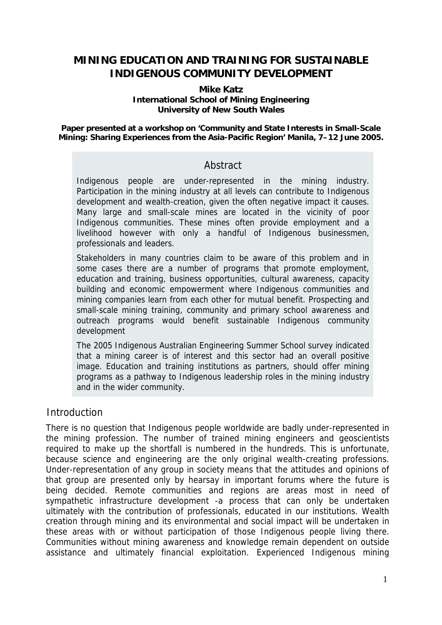# **MINING EDUCATION AND TRAINING FOR SUSTAINABLE INDIGENOUS COMMUNITY DEVELOPMENT**

#### **Mike Katz International School of Mining Engineering University of New South Wales**

**Paper presented at a workshop on 'Community and State Interests in Small-Scale Mining: Sharing Experiences from the Asia-Pacific Region' Manila, 7–12 June 2005.** 

## Abstract

Indigenous people are under-represented in the mining industry. Participation in the mining industry at all levels can contribute to Indigenous development and wealth-creation, given the often negative impact it causes. Many large and small-scale mines are located in the vicinity of poor Indigenous communities. These mines often provide employment and a livelihood however with only a handful of Indigenous businessmen, professionals and leaders.

Stakeholders in many countries claim to be aware of this problem and in some cases there are a number of programs that promote employment, education and training, business opportunities, cultural awareness, capacity building and economic empowerment where Indigenous communities and mining companies learn from each other for mutual benefit. Prospecting and small-scale mining training, community and primary school awareness and outreach programs would benefit sustainable Indigenous community development

The 2005 Indigenous Australian Engineering Summer School survey indicated that a mining career is of interest and this sector had an overall positive image. Education and training institutions as partners, should offer mining programs as a pathway to Indigenous leadership roles in the mining industry and in the wider community.

## Introduction

There is no question that Indigenous people worldwide are badly under-represented in the mining profession. The number of trained mining engineers and geoscientists required to make up the shortfall is numbered in the hundreds. This is unfortunate, because science and engineering are the only original wealth-creating professions. Under-representation of any group in society means that the attitudes and opinions of that group are presented only by hearsay in important forums where the future is being decided. Remote communities and regions are areas most in need of sympathetic infrastructure development -a process that can only be undertaken ultimately with the contribution of professionals, educated in our institutions. Wealth creation through mining and its environmental and social impact will be undertaken in these areas with or without participation of those Indigenous people living there. Communities without mining awareness and knowledge remain dependent on outside assistance and ultimately financial exploitation. Experienced Indigenous mining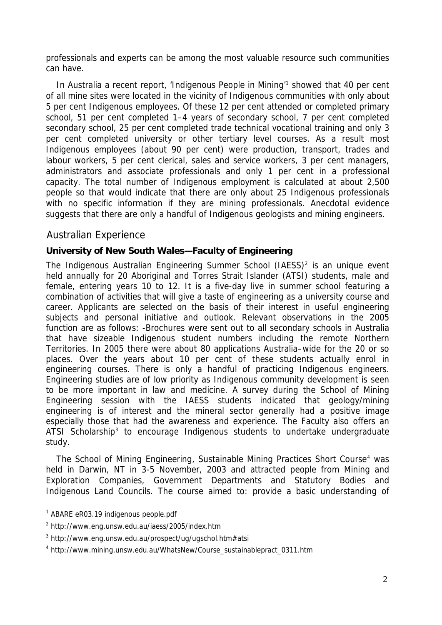professionals and experts can be among the most valuable resource such communities can have.

In Australia a recent report, 'Indigenous People in Mining<sup>[1](#page-1-0)</sup> showed that 40 per cent of all mine sites were located in the vicinity of Indigenous communities with only about 5 per cent Indigenous employees. Of these 12 per cent attended or completed primary school, 51 per cent completed 1–4 years of secondary school, 7 per cent completed secondary school, 25 per cent completed trade technical vocational training and only 3 per cent completed university or other tertiary level courses. As a result most Indigenous employees (about 90 per cent) were production, transport, trades and labour workers, 5 per cent clerical, sales and service workers, 3 per cent managers, administrators and associate professionals and only 1 per cent in a professional capacity. The total number of Indigenous employment is calculated at about 2,500 people so that would indicate that there are only about 25 Indigenous professionals with no specific information if they are mining professionals. Anecdotal evidence suggests that there are only a handful of Indigenous geologists and mining engineers.

### Australian Experience

### **University of New South Wales—Faculty of Engineering**

The Indigenous Australian Engineering Summer School (IAESS)<sup>[2](#page-1-1)</sup> is an unique event held annually for 20 Aboriginal and Torres Strait Islander (ATSI) students, male and female, entering years 10 to 12. It is a five-day live in summer school featuring a combination of activities that will give a taste of engineering as a university course and career. Applicants are selected on the basis of their interest in useful engineering subjects and personal initiative and outlook. Relevant observations in the 2005 function are as follows: -Brochures were sent out to all secondary schools in Australia that have sizeable Indigenous student numbers including the remote Northern Territories. In 2005 there were about 80 applications Australia–wide for the 20 or so places. Over the years about 10 per cent of these students actually enrol in engineering courses. There is only a handful of practicing Indigenous engineers. Engineering studies are of low priority as Indigenous community development is seen to be more important in law and medicine. A survey during the School of Mining Engineering session with the IAESS students indicated that geology/mining engineering is of interest and the mineral sector generally had a positive image especially those that had the awareness and experience. The Faculty also offers an ATSI Scholarship<sup>[3](#page-1-2)</sup> to encourage Indigenous students to undertake undergraduate study.

The School of Mining Engineering, Sustainable Mining Practices Short Course<sup>[4](#page-1-3)</sup> was held in Darwin, NT in 3-5 November, 2003 and attracted people from Mining and Exploration Companies, Government Departments and Statutory Bodies and Indigenous Land Councils. The course aimed to: provide a basic understanding of

<span id="page-1-0"></span><sup>&</sup>lt;sup>1</sup> ABARE eR03.19 indigenous people.pdf

<span id="page-1-1"></span><sup>&</sup>lt;sup>2</sup> http://www.eng.unsw.edu.au/iaess/2005/index.htm

<span id="page-1-2"></span><sup>3</sup> http://www.eng.unsw.edu.au/prospect/ug/ugschol.htm#atsi

<span id="page-1-3"></span><sup>4</sup> http://www.mining.unsw.edu.au/WhatsNew/Course\_sustainablepract\_0311.htm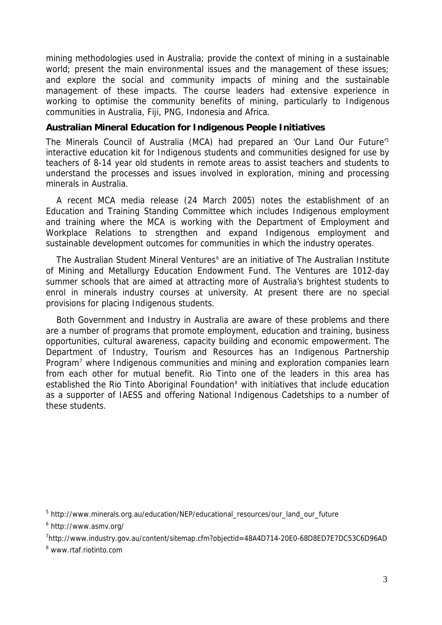mining methodologies used in Australia; provide the context of mining in a sustainable world; present the main environmental issues and the management of these issues; and explore the social and community impacts of mining and the sustainable management of these impacts. The course leaders had extensive experience in working to optimise the community benefits of mining, particularly to Indigenous communities in Australia, Fiji, PNG, Indonesia and Africa.

### **Australian Mineral Education for Indigenous People Initiatives**

The Minerals Council of Australia (MCA) had prepared an 'Our Land Our Future['5](#page-2-0) interactive education kit for Indigenous students and communities designed for use by teachers of 8-14 year old students in remote areas to assist teachers and students to understand the processes and issues involved in exploration, mining and processing minerals in Australia.

A recent MCA media release (24 March 2005) notes the establishment of an Education and Training Standing Committee which includes Indigenous employment and training where the MCA is working with the Department of Employment and Workplace Relations to strengthen and expand Indigenous employment and sustainable development outcomes for communities in which the industry operates.

The Australian Student Mineral Ventures<sup>[6](#page-2-1)</sup> are an initiative of The Australian Institute of Mining and Metallurgy Education Endowment Fund. The Ventures are 1012-day summer schools that are aimed at attracting more of Australia's brightest students to enrol in minerals industry courses at university. At present there are no special provisions for placing Indigenous students.

Both Government and Industry in Australia are aware of these problems and there are a number of programs that promote employment, education and training, business opportunities, cultural awareness, capacity building and economic empowerment. The Department of Industry, Tourism and Resources has an Indigenous Partnership Program<sup>[7](#page-2-2)</sup> where Indigenous communities and mining and exploration companies learn from each other for mutual benefit. Rio Tinto one of the leaders in this area has established the Rio Tinto Aboriginal Foundation<sup>[8](#page-2-3)</sup> with initiatives that include education as a supporter of IAESS and offering National Indigenous Cadetships to a number of these students.

<span id="page-2-0"></span><sup>&</sup>lt;sup>5</sup> http://www.minerals.org.au/education/NEP/educational\_resources/our\_land\_our\_future

<span id="page-2-1"></span><sup>6</sup> http://www.asmv.org/

<span id="page-2-2"></span><sup>&</sup>lt;sup>7</sup>http://www.industry.gov.au/content/sitemap.cfm?objectid=48A4D714-20E0-68D8ED7E7DC53C6D96AD

<span id="page-2-3"></span><sup>8</sup> www.rtaf.riotinto.com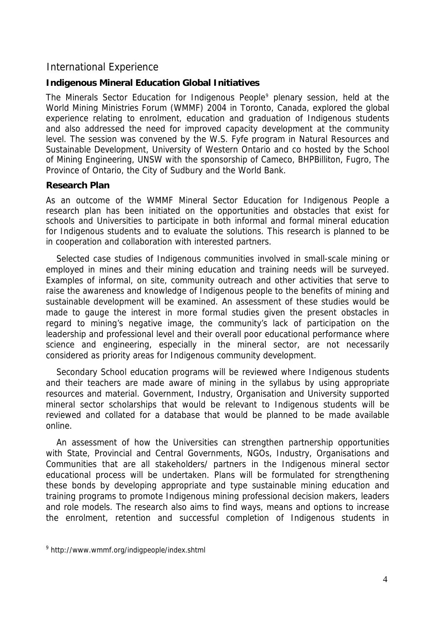## International Experience

### **Indigenous Mineral Education Global Initiatives**

The Minerals Sector Education for Indigenous People<sup>[9](#page-3-0)</sup> plenary session, held at the World Mining Ministries Forum (WMMF) 2004 in Toronto, Canada, explored the global experience relating to enrolment, education and graduation of Indigenous students and also addressed the need for improved capacity development at the community level. The session was convened by the W.S. Fyfe program in Natural Resources and Sustainable Development, University of Western Ontario and co hosted by the School of Mining Engineering, UNSW with the sponsorship of Cameco, BHPBilliton, Fugro, The Province of Ontario, the City of Sudbury and the World Bank.

### **Research Plan**

As an outcome of the WMMF Mineral Sector Education for Indigenous People a research plan has been initiated on the opportunities and obstacles that exist for schools and Universities to participate in both informal and formal mineral education for Indigenous students and to evaluate the solutions. This research is planned to be in cooperation and collaboration with interested partners.

Selected case studies of Indigenous communities involved in small-scale mining or employed in mines and their mining education and training needs will be surveyed. Examples of informal, on site, community outreach and other activities that serve to raise the awareness and knowledge of Indigenous people to the benefits of mining and sustainable development will be examined. An assessment of these studies would be made to gauge the interest in more formal studies given the present obstacles in regard to mining's negative image, the community's lack of participation on the leadership and professional level and their overall poor educational performance where science and engineering, especially in the mineral sector, are not necessarily considered as priority areas for Indigenous community development.

Secondary School education programs will be reviewed where Indigenous students and their teachers are made aware of mining in the syllabus by using appropriate resources and material. Government, Industry, Organisation and University supported mineral sector scholarships that would be relevant to Indigenous students will be reviewed and collated for a database that would be planned to be made available online.

An assessment of how the Universities can strengthen partnership opportunities with State, Provincial and Central Governments, NGOs, Industry, Organisations and Communities that are all stakeholders/ partners in the Indigenous mineral sector educational process will be undertaken. Plans will be formulated for strengthening these bonds by developing appropriate and type sustainable mining education and training programs to promote Indigenous mining professional decision makers, leaders and role models. The research also aims to find ways, means and options to increase the enrolment, retention and successful completion of Indigenous students in

<span id="page-3-0"></span><sup>9</sup> <http://www.wmmf.org/indigpeople/index.shtml>